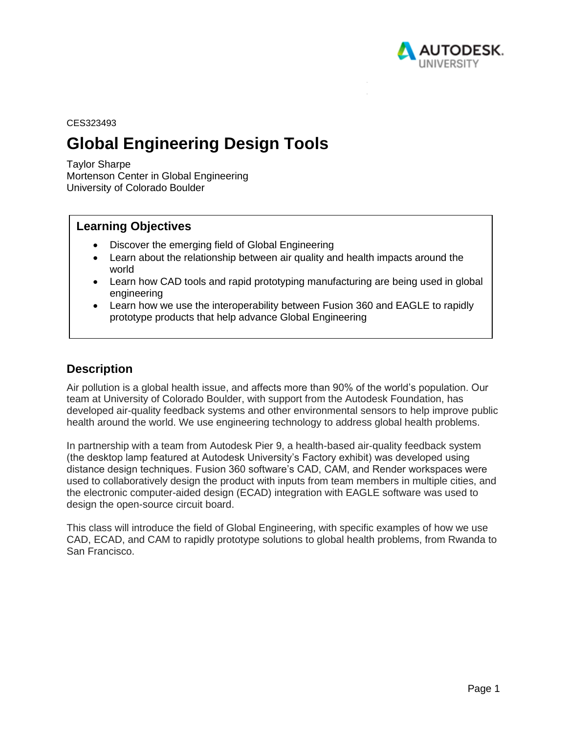

CES323493

# **Global Engineering Design Tools**

Taylor Sharpe Mortenson Center in Global Engineering University of Colorado Boulder

# **Learning Objectives**

- Discover the emerging field of Global Engineering
- Learn about the relationship between air quality and health impacts around the world
- Learn how CAD tools and rapid prototyping manufacturing are being used in global engineering
- Learn how we use the interoperability between Fusion 360 and EAGLE to rapidly prototype products that help advance Global Engineering

# **Description**

Air pollution is a global health issue, and affects more than 90% of the world's population. Our team at University of Colorado Boulder, with support from the Autodesk Foundation, has developed air-quality feedback systems and other environmental sensors to help improve public health around the world. We use engineering technology to address global health problems.

In partnership with a team from Autodesk Pier 9, a health-based air-quality feedback system (the desktop lamp featured at Autodesk University's Factory exhibit) was developed using distance design techniques. Fusion 360 software's CAD, CAM, and Render workspaces were used to collaboratively design the product with inputs from team members in multiple cities, and the electronic computer-aided design (ECAD) integration with EAGLE software was used to design the open-source circuit board.

This class will introduce the field of Global Engineering, with specific examples of how we use CAD, ECAD, and CAM to rapidly prototype solutions to global health problems, from Rwanda to San Francisco.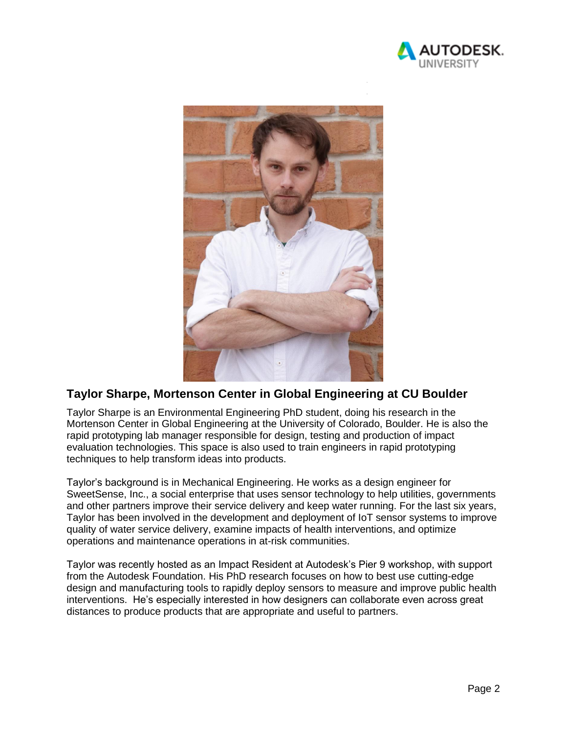



# **Taylor Sharpe, Mortenson Center in Global Engineering at CU Boulder**

Taylor Sharpe is an Environmental Engineering PhD student, doing his research in the Mortenson Center in Global Engineering at the University of Colorado, Boulder. He is also the rapid prototyping lab manager responsible for design, testing and production of impact evaluation technologies. This space is also used to train engineers in rapid prototyping techniques to help transform ideas into products.

Taylor's background is in Mechanical Engineering. He works as a design engineer for SweetSense, Inc., a social enterprise that uses sensor technology to help utilities, governments and other partners improve their service delivery and keep water running. For the last six years, Taylor has been involved in the development and deployment of IoT sensor systems to improve quality of water service delivery, examine impacts of health interventions, and optimize operations and maintenance operations in at-risk communities.

Taylor was recently hosted as an Impact Resident at Autodesk's Pier 9 workshop, with support from the Autodesk Foundation. His PhD research focuses on how to best use cutting-edge design and manufacturing tools to rapidly deploy sensors to measure and improve public health interventions. He's especially interested in how designers can collaborate even across great distances to produce products that are appropriate and useful to partners.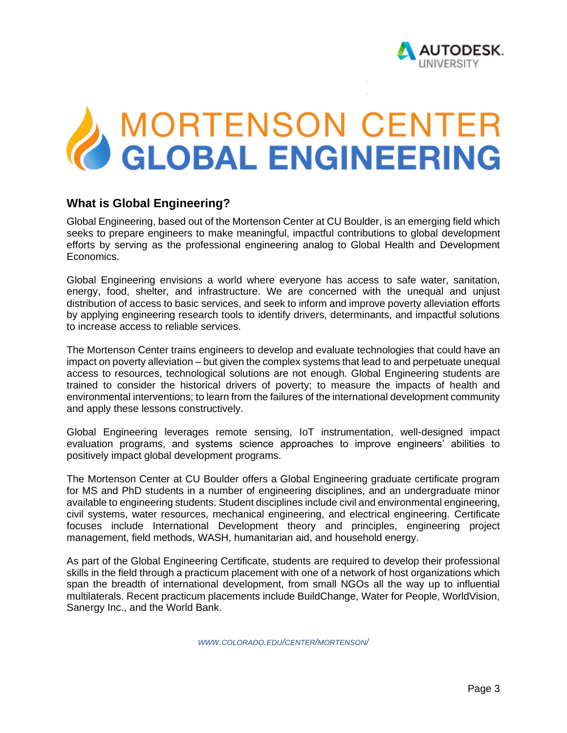

# **MORTENSON CENTER<br>GLOBAL ENGINEERING**

# **What is Global Engineering?**

Global Engineering, based out of the Mortenson Center at CU Boulder, is an emerging field which seeks to prepare engineers to make meaningful, impactful contributions to global development efforts by serving as the professional engineering analog to Global Health and Development Economics.

Global Engineering envisions a world where everyone has access to safe water, sanitation, energy, food, shelter, and infrastructure. We are concerned with the unequal and unjust distribution of access to basic services, and seek to inform and improve poverty alleviation efforts by applying engineering research tools to identify drivers, determinants, and impactful solutions to increase access to reliable services.

The Mortenson Center trains engineers to develop and evaluate technologies that could have an impact on poverty alleviation – but given the complex systems that lead to and perpetuate unequal access to resources, technological solutions are not enough. Global Engineering students are trained to consider the historical drivers of poverty; to measure the impacts of health and environmental interventions; to learn from the failures of the international development community and apply these lessons constructively.

Global Engineering leverages remote sensing, IoT instrumentation, well-designed impact evaluation programs, and systems science approaches to improve engineers' abilities to positively impact global development programs.

The Mortenson Center at CU Boulder offers a Global Engineering graduate certificate program for MS and PhD students in a number of engineering disciplines, and an undergraduate minor available to engineering students. Student disciplines include civil and environmental engineering, civil systems, water resources, mechanical engineering, and electrical engineering. Certificate focuses include International Development theory and principles, engineering project management, field methods, WASH, humanitarian aid, and household energy.

As part of the Global Engineering Certificate, students are required to develop their professional skills in the field through a practicum placement with one of a network of host organizations which span the breadth of international development, from small NGOs all the way up to influential multilaterals. Recent practicum placements include BuildChange, Water for People, WorldVision, Sanergy Inc., and the World Bank.

*WWW.COLORADO.EDU/CENTER/MORTENSON/*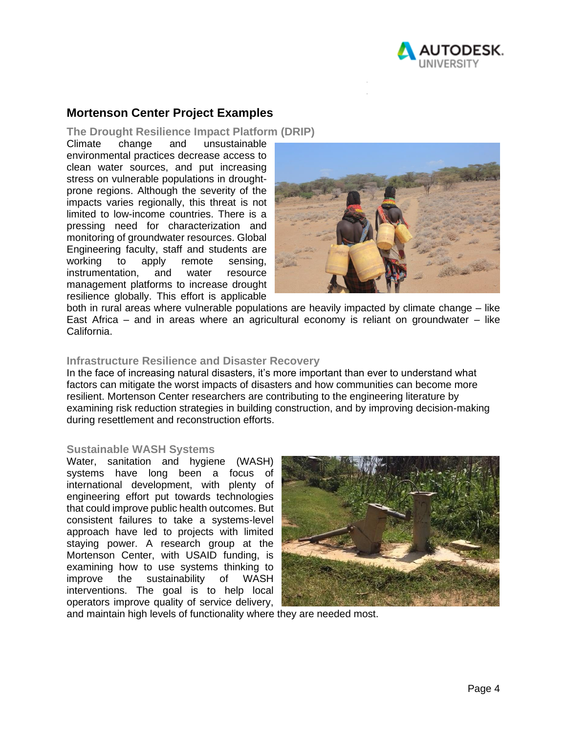

# **Mortenson Center Project Examples**

#### **The Drought Resilience Impact Platform (DRIP)**

Climate change and unsustainable environmental practices decrease access to clean water sources, and put increasing stress on vulnerable populations in droughtprone regions. Although the severity of the impacts varies regionally, this threat is not limited to low-income countries. There is a pressing need for characterization and monitoring of groundwater resources. Global Engineering faculty, staff and students are working to apply remote sensing, instrumentation, and water resource management platforms to increase drought resilience globally. This effort is applicable



both in rural areas where vulnerable populations are heavily impacted by climate change – like East Africa – and in areas where an agricultural economy is reliant on groundwater – like California.

#### **Infrastructure Resilience and Disaster Recovery**

In the face of increasing natural disasters, it's more important than ever to understand what factors can mitigate the worst impacts of disasters and how communities can become more resilient. Mortenson Center researchers are contributing to the engineering literature by examining risk reduction strategies in building construction, and by improving decision-making during resettlement and reconstruction efforts.

#### **Sustainable WASH Systems**

Water, sanitation and hygiene (WASH) systems have long been a focus of international development, with plenty of engineering effort put towards technologies that could improve public health outcomes. But consistent failures to take a systems-level approach have led to projects with limited staying power. A research group at the Mortenson Center, with USAID funding, is examining how to use systems thinking to improve the sustainability of WASH interventions. The goal is to help local operators improve quality of service delivery,



and maintain high levels of functionality where they are needed most.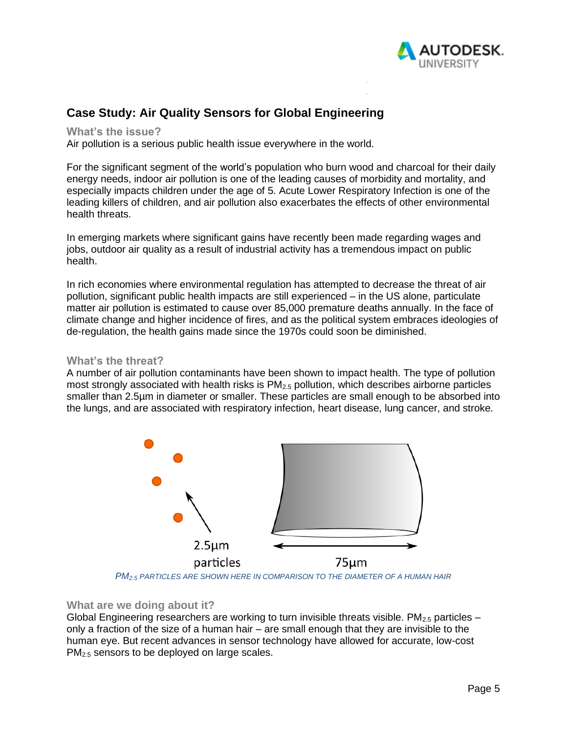

# **Case Study: Air Quality Sensors for Global Engineering**

**What's the issue?**

Air pollution is a serious public health issue everywhere in the world.

For the significant segment of the world's population who burn wood and charcoal for their daily energy needs, indoor air pollution is one of the leading causes of morbidity and mortality, and especially impacts children under the age of 5. Acute Lower Respiratory Infection is one of the leading killers of children, and air pollution also exacerbates the effects of other environmental health threats.

In emerging markets where significant gains have recently been made regarding wages and jobs, outdoor air quality as a result of industrial activity has a tremendous impact on public health.

In rich economies where environmental regulation has attempted to decrease the threat of air pollution, significant public health impacts are still experienced – in the US alone, particulate matter air pollution is estimated to cause over 85,000 premature deaths annually. In the face of climate change and higher incidence of fires, and as the political system embraces ideologies of de-regulation, the health gains made since the 1970s could soon be diminished.

#### **What's the threat?**

A number of air pollution contaminants have been shown to impact health. The type of pollution most strongly associated with health risks is PM<sub>2.5</sub> pollution, which describes airborne particles smaller than 2.5µm in diameter or smaller. These particles are small enough to be absorbed into the lungs, and are associated with respiratory infection, heart disease, lung cancer, and stroke.



*PM2.5 PARTICLES ARE SHOWN HERE IN COMPARISON TO THE DIAMETER OF A HUMAN HAIR*

#### **What are we doing about it?**

Global Engineering researchers are working to turn invisible threats visible. PM<sub>2.5</sub> particles – only a fraction of the size of a human hair – are small enough that they are invisible to the human eye. But recent advances in sensor technology have allowed for accurate, low-cost PM<sub>2.5</sub> sensors to be deployed on large scales.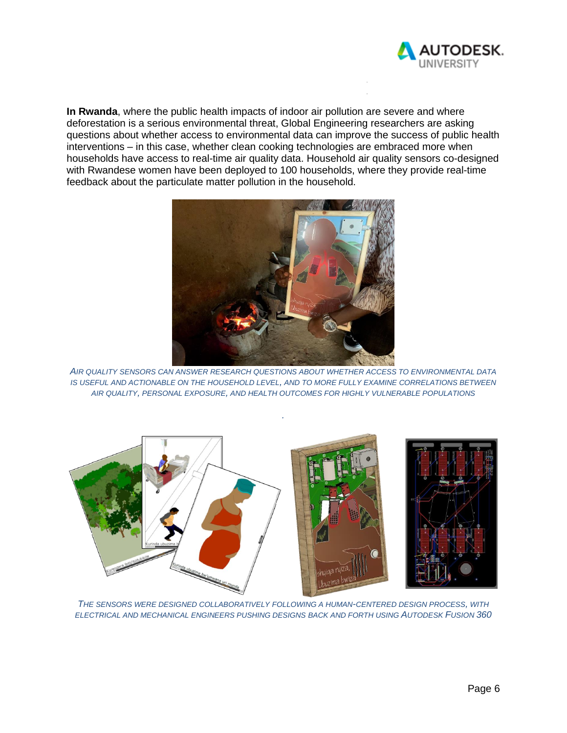

**In Rwanda**, where the public health impacts of indoor air pollution are severe and where deforestation is a serious environmental threat, Global Engineering researchers are asking questions about whether access to environmental data can improve the success of public health interventions – in this case, whether clean cooking technologies are embraced more when households have access to real-time air quality data. Household air quality sensors co-designed with Rwandese women have been deployed to 100 households, where they provide real-time feedback about the particulate matter pollution in the household.



*AIR QUALITY SENSORS CAN ANSWER RESEARCH QUESTIONS ABOUT WHETHER ACCESS TO ENVIRONMENTAL DATA IS USEFUL AND ACTIONABLE ON THE HOUSEHOLD LEVEL, AND TO MORE FULLY EXAMINE CORRELATIONS BETWEEN AIR QUALITY, PERSONAL EXPOSURE, AND HEALTH OUTCOMES FOR HIGHLY VULNERABLE POPULATIONS*

*.*



*THE SENSORS WERE DESIGNED COLLABORATIVELY FOLLOWING A HUMAN-CENTERED DESIGN PROCESS, WITH ELECTRICAL AND MECHANICAL ENGINEERS PUSHING DESIGNS BACK AND FORTH USING AUTODESK FUSION 360*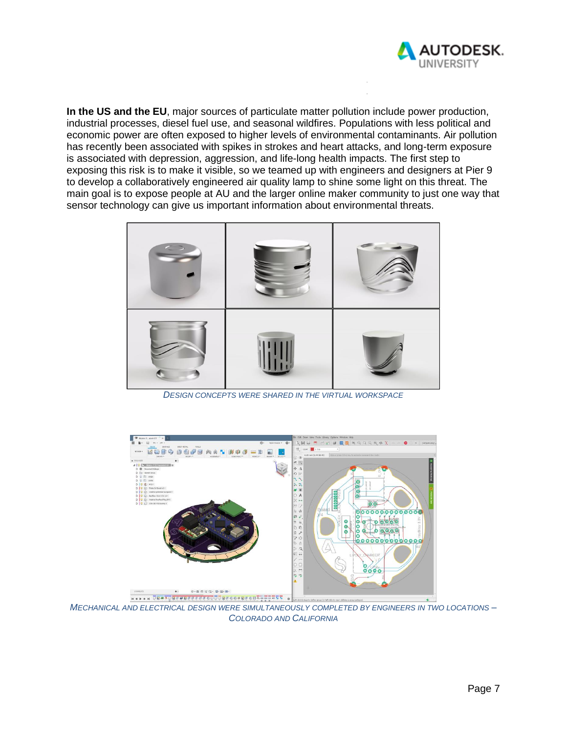

**In the US and the EU**, major sources of particulate matter pollution include power production, industrial processes, diesel fuel use, and seasonal wildfires. Populations with less political and economic power are often exposed to higher levels of environmental contaminants. Air pollution has recently been associated with spikes in strokes and heart attacks, and long-term exposure is associated with depression, aggression, and life-long health impacts. The first step to exposing this risk is to make it visible, so we teamed up with engineers and designers at Pier 9 to develop a collaboratively engineered air quality lamp to shine some light on this threat. The main goal is to expose people at AU and the larger online maker community to just one way that sensor technology can give us important information about environmental threats.



*DESIGN CONCEPTS WERE SHARED IN THE VIRTUAL WORKSPACE*



*MECHANICAL AND ELECTRICAL DESIGN WERE SIMULTANEOUSLY COMPLETED BY ENGINEERS IN TWO LOCATIONS – COLORADO AND CALIFORNIA*